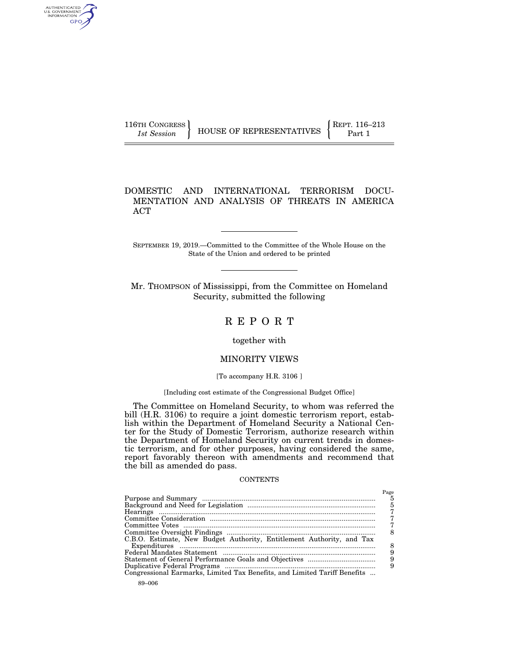| 116TH CONGRESS | HOUSE OF REPRESENTATIVES | $REPT. 116-213$ |
|----------------|--------------------------|-----------------|
| 1st Session    |                          | Part 1          |

## DOMESTIC AND INTERNATIONAL TERRORISM DOCU-MENTATION AND ANALYSIS OF THREATS IN AMERICA ACT

SEPTEMBER 19, 2019.—Committed to the Committee of the Whole House on the State of the Union and ordered to be printed

Mr. THOMPSON of Mississippi, from the Committee on Homeland Security, submitted the following

# R E P O R T

together with

## MINORITY VIEWS

### [To accompany H.R. 3106]

### [Including cost estimate of the Congressional Budget Office]

The Committee on Homeland Security, to whom was referred the bill (H.R. 3106) to require a joint domestic terrorism report, establish within the Department of Homeland Security a National Center for the Study of Domestic Terrorism, authorize research within the Department of Homeland Security on current trends in domestic terrorism, and for other purposes, having considered the same, report favorably thereon with amendments and recommend that the bill as amended do pass.

### **CONTENTS**

| C.B.O. Estimate, New Budget Authority, Entitlement Authority, and Tax     | Page<br>5<br>5<br>8<br>9<br>9 |
|---------------------------------------------------------------------------|-------------------------------|
| Congressional Earmarks, Limited Tax Benefits, and Limited Tariff Benefits |                               |

AUTHENTICATED<br>U.S. GOVERNMENT<br>INFORMATION GPO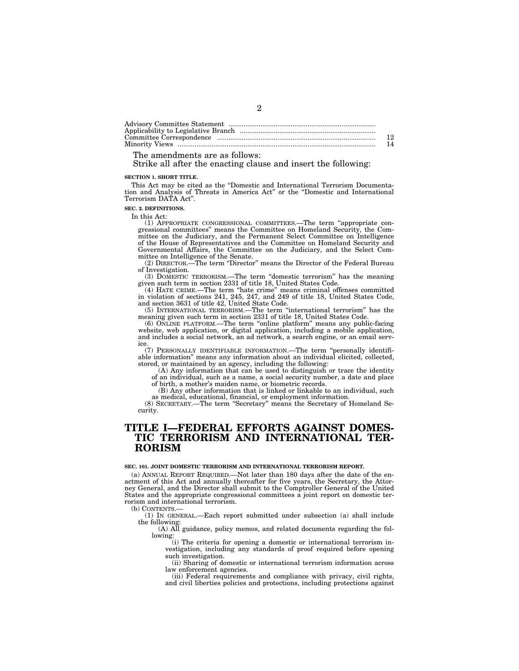| 12 |
|----|
| 14 |

## The amendments are as follows:

Strike all after the enacting clause and insert the following:

### **SECTION 1. SHORT TITLE.**

This Act may be cited as the ''Domestic and International Terrorism Documentation and Analysis of Threats in America Act'' or the ''Domestic and International Terrorism DATA Act''.

**SEC. 2. DEFINITIONS.** 

In this Act:

(1) APPROPRIATE CONGRESSIONAL COMMITTEES.—The term ''appropriate congressional committees'' means the Committee on Homeland Security, the Committee on the Judiciary, and the Permanent Select Committee on Intelligence of the House of Representatives and the Committee on Homeland Security and Governmental Affairs, the Committee on the Judiciary, and the Select Committee on Intelligence of the Senate.

(2) DIRECTOR.—The term ''Director'' means the Director of the Federal Bureau of Investigation.

(3) DOMESTIC TERRORISM.—The term ''domestic terrorism'' has the meaning

given such term in section 2331 of title 18, United States Code.<br>
(4) HATE CRIME.—The term "hate crime" means criminal offenses committed<br>
in violation of sections 241, 245, 247, and 249 of title 18, United States Code,<br>
a

meaning given such term in section 2331 of title 18, United States Code.

(6) ONLINE PLATFORM.—The term ''online platform'' means any public-facing website, web application, or digital application, including a mobile application, and includes a social network, an ad network, a search engine, or an email service.

(7) PERSONALLY IDENTIFIABLE INFORMATION.—The term ''personally identifi-able information'' means any information about an individual elicited, collected, stored, or maintained by an agency, including the following:

(A) Any information that can be used to distinguish or trace the identity of an individual, such as a name, a social security number, a date and place of birth, a mother's maiden name, or biometric records.

(B) Any other information that is linked or linkable to an individual, such as medical, educational, financial, or employment information.

(8) SECRETARY.—The term ''Secretary'' means the Secretary of Homeland Security.

# **TITLE I—FEDERAL EFFORTS AGAINST DOMES-TIC TERRORISM AND INTERNATIONAL TER-RORISM**

#### **SEC. 101. JOINT DOMESTIC TERRORISM AND INTERNATIONAL TERRORISM REPORT.**

(a) ANNUAL REPORT REQUIRED.—Not later than 180 days after the date of the enactment of this Act and annually thereafter for five years, the Secretary, the Attorney General, and the Director shall submit to the Comptroller General of the United States and the appropriate congressional committees a joint report on domestic terrorism and international terrorism.

(b) CONTENTS.—

(1) IN GENERAL.—Each report submitted under subsection (a) shall include the following:

(A) All guidance, policy memos, and related documents regarding the following:

(i) The criteria for opening a domestic or international terrorism investigation, including any standards of proof required before opening such investigation.

(ii) Sharing of domestic or international terrorism information across law enforcement agencies.

(iii) Federal requirements and compliance with privacy, civil rights, and civil liberties policies and protections, including protections against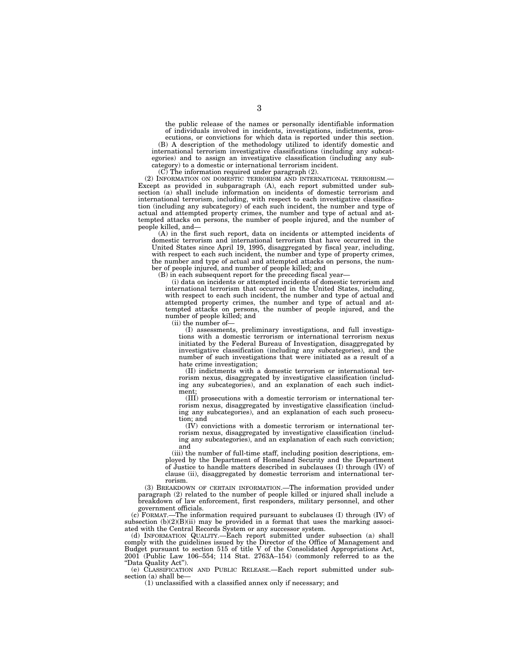the public release of the names or personally identifiable information of individuals involved in incidents, investigations, indictments, pros-

ecutions, or convictions for which data is reported under this section. (B) A description of the methodology utilized to identify domestic and international terrorism investigative classifications (including any subcategories) and to assign an investigative classification (including any subcategory) to a domestic or international terrorism incident.

 $(C)$  The information required under paragraph  $(2)$ .

(2) INFORMATION ON DOMESTIC TERRORISM AND INTERNATIONAL TERRORISM.— Except as provided in subparagraph (A), each report submitted under subsection (a) shall include information on incidents of domestic terrorism and international terrorism, including, with respect to each investigative classification (including any subcategory) of each such incident, the number and type of actual and attempted property crimes, the number and type of actual and attempted attacks on persons, the number of people injured, and the number of people killed, and—

(A) in the first such report, data on incidents or attempted incidents of domestic terrorism and international terrorism that have occurred in the United States since April 19, 1995, disaggregated by fiscal year, including, with respect to each such incident, the number and type of property crimes, the number and type of actual and attempted attacks on persons, the number of people injured, and number of people killed; and

(B) in each subsequent report for the preceding fiscal year—

(i) data on incidents or attempted incidents of domestic terrorism and international terrorism that occurred in the United States, including, with respect to each such incident, the number and type of actual and attempted property crimes, the number and type of actual and attempted attacks on persons, the number of people injured, and the number of people killed; and

(ii) the number of—

(I) assessments, preliminary investigations, and full investigations with a domestic terrorism or international terrorism nexus initiated by the Federal Bureau of Investigation, disaggregated by investigative classification (including any subcategories), and the number of such investigations that were initiated as a result of a hate crime investigation;

(II) indictments with a domestic terrorism or international terrorism nexus, disaggregated by investigative classification (including any subcategories), and an explanation of each such indictment;

(III) prosecutions with a domestic terrorism or international terrorism nexus, disaggregated by investigative classification (including any subcategories), and an explanation of each such prosecution; and

(IV) convictions with a domestic terrorism or international terrorism nexus, disaggregated by investigative classification (including any subcategories), and an explanation of each such conviction; and

(iii) the number of full-time staff, including position descriptions, employed by the Department of Homeland Security and the Department of Justice to handle matters described in subclauses (I) through (IV) of clause (ii), disaggregated by domestic terrorism and international terrorism.

(3) BREAKDOWN OF CERTAIN INFORMATION.—The information provided under paragraph (2) related to the number of people killed or injured shall include a breakdown of law enforcement, first responders, military personnel, and other government officials.

(c) FORMAT.—The information required pursuant to subclauses (I) through (IV) of subsection  $(b)(2)(B)(ii)$  may be provided in a format that uses the marking associated with the Central Records System or any successor system.

(d) INFORMATION QUALITY.—Each report submitted under subsection (a) shall comply with the guidelines issued by the Director of the Office of Management and Budget pursuant to section 515 of title V of the Consolidated Appropriations Act, 2001 (Public Law 106–554; 114 Stat. 2763A–154) (commonly referred to as the ''Data Quality Act'').

(e) CLASSIFICATION AND PUBLIC RELEASE.—Each report submitted under subsection (a) shall be

(1) unclassified with a classified annex only if necessary; and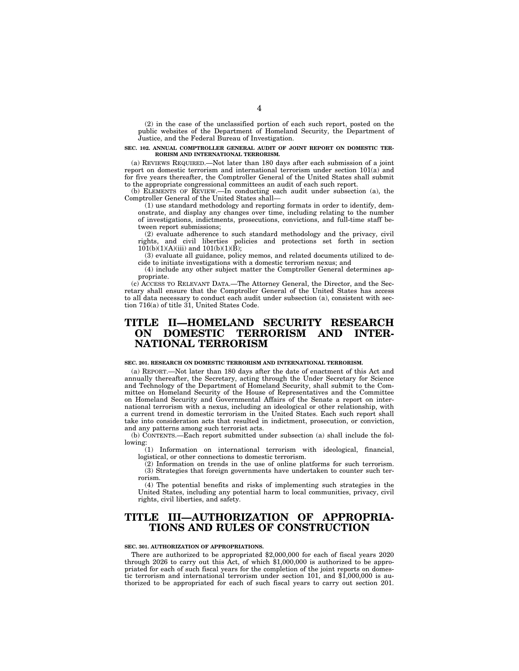(2) in the case of the unclassified portion of each such report, posted on the public websites of the Department of Homeland Security, the Department of Justice, and the Federal Bureau of Investigation.

#### **SEC. 102. ANNUAL COMPTROLLER GENERAL AUDIT OF JOINT REPORT ON DOMESTIC TER-RORISM AND INTERNATIONAL TERRORISM.**

(a) REVIEWS REQUIRED.—Not later than 180 days after each submission of a joint report on domestic terrorism and international terrorism under section 101(a) and for five years thereafter, the Comptroller General of the United States shall submit to the appropriate congressional committees an audit of each such report.

(b) ELEMENTS OF REVIEW.—In conducting each audit under subsection (a), the Comptroller General of the United States shall—

(1) use standard methodology and reporting formats in order to identify, demonstrate, and display any changes over time, including relating to the number of investigations, indictments, prosecutions, convictions, and full-time staff between report submissions;

(2) evaluate adherence to such standard methodology and the privacy, civil rights, and civil liberties policies and protections set forth in section  $101(b)(1)(A)(iii)$  and  $101(b)(1)(B);$ 

(3) evaluate all guidance, policy memos, and related documents utilized to decide to initiate investigations with a domestic terrorism nexus; and

(4) include any other subject matter the Comptroller General determines appropriate.

(c) ACCESS TO RELEVANT DATA.—The Attorney General, the Director, and the Secretary shall ensure that the Comptroller General of the United States has access to all data necessary to conduct each audit under subsection (a), consistent with section 716(a) of title 31, United States Code.

# **TITLE II—HOMELAND SECURITY RESEARCH ON DOMESTIC TERRORISM AND INTER-NATIONAL TERRORISM**

### **SEC. 201. RESEARCH ON DOMESTIC TERRORISM AND INTERNATIONAL TERRORISM.**

(a) REPORT.—Not later than 180 days after the date of enactment of this Act and annually thereafter, the Secretary, acting through the Under Secretary for Science and Technology of the Department of Homeland Security, shall submit to the Committee on Homeland Security of the House of Representatives and the Committee on Homeland Security and Governmental Affairs of the Senate a report on international terrorism with a nexus, including an ideological or other relationship, with a current trend in domestic terrorism in the United States. Each such report shall take into consideration acts that resulted in indictment, prosecution, or conviction, and any patterns among such terrorist acts.

(b) CONTENTS.—Each report submitted under subsection (a) shall include the following:

(1) Information on international terrorism with ideological, financial, logistical, or other connections to domestic terrorism.

(2) Information on trends in the use of online platforms for such terrorism. (3) Strategies that foreign governments have undertaken to counter such terrorism.

(4) The potential benefits and risks of implementing such strategies in the United States, including any potential harm to local communities, privacy, civil rights, civil liberties, and safety.

# **TITLE III—AUTHORIZATION OF APPROPRIA-TIONS AND RULES OF CONSTRUCTION**

#### **SEC. 301. AUTHORIZATION OF APPROPRIATIONS.**

There are authorized to be appropriated \$2,000,000 for each of fiscal years 2020 through 2026 to carry out this  $Act, of which \text{ $1,000,000 is authorized to be approx$ priated for each of such fiscal years for the completion of the joint reports on domestic terrorism and international terrorism under section 101, and \$1,000,000 is authorized to be appropriated for each of such fiscal years to carry out section 201.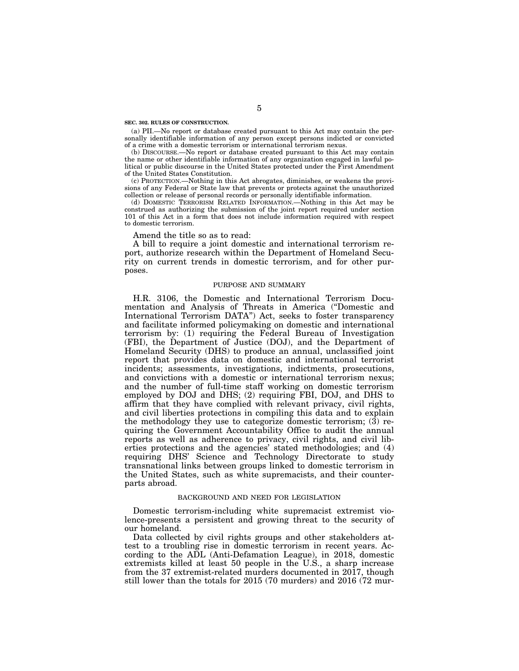#### **SEC. 302. RULES OF CONSTRUCTION.**

(a) PII.—No report or database created pursuant to this Act may contain the personally identifiable information of any person except persons indicted or convicted of a crime with a domestic terrorism or international terrorism nexus.

(b) DISCOURSE.—No report or database created pursuant to this Act may contain the name or other identifiable information of any organization engaged in lawful political or public discourse in the United States protected under the First Amendment of the United States Constitution.

(c) PROTECTION.—Nothing in this Act abrogates, diminishes, or weakens the provisions of any Federal or State law that prevents or protects against the unauthorized collection or release of personal records or personally identifiable information.

(d) DOMESTIC TERRORISM RELATED INFORMATION.—Nothing in this Act may be construed as authorizing the submission of the joint report required under section 101 of this Act in a form that does not include information required with respect to domestic terrorism.

Amend the title so as to read:

A bill to require a joint domestic and international terrorism report, authorize research within the Department of Homeland Security on current trends in domestic terrorism, and for other purposes.

### PURPOSE AND SUMMARY

H.R. 3106, the Domestic and International Terrorism Documentation and Analysis of Threats in America (''Domestic and International Terrorism DATA'') Act, seeks to foster transparency and facilitate informed policymaking on domestic and international terrorism by: (1) requiring the Federal Bureau of Investigation (FBI), the Department of Justice (DOJ), and the Department of Homeland Security (DHS) to produce an annual, unclassified joint report that provides data on domestic and international terrorist incidents; assessments, investigations, indictments, prosecutions, and convictions with a domestic or international terrorism nexus; and the number of full-time staff working on domestic terrorism employed by DOJ and DHS; (2) requiring FBI, DOJ, and DHS to affirm that they have complied with relevant privacy, civil rights, and civil liberties protections in compiling this data and to explain the methodology they use to categorize domestic terrorism; (3) requiring the Government Accountability Office to audit the annual reports as well as adherence to privacy, civil rights, and civil liberties protections and the agencies' stated methodologies; and (4) requiring DHS' Science and Technology Directorate to study transnational links between groups linked to domestic terrorism in the United States, such as white supremacists, and their counterparts abroad.

### BACKGROUND AND NEED FOR LEGISLATION

Domestic terrorism-including white supremacist extremist violence-presents a persistent and growing threat to the security of our homeland.

Data collected by civil rights groups and other stakeholders attest to a troubling rise in domestic terrorism in recent years. According to the ADL (Anti-Defamation League), in 2018, domestic extremists killed at least 50 people in the U.S., a sharp increase from the 37 extremist-related murders documented in 2017, though still lower than the totals for 2015 (70 murders) and 2016 (72 mur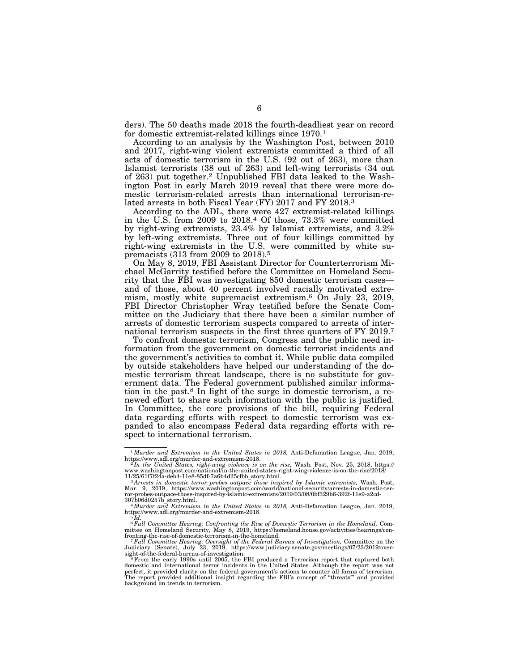ders). The 50 deaths made 2018 the fourth-deadliest year on record for domestic extremist-related killings since 1970.1

According to an analysis by the Washington Post, between 2010 and 2017, right-wing violent extremists committed a third of all acts of domestic terrorism in the U.S. (92 out of 263), more than Islamist terrorists (38 out of 263) and left-wing terrorists (34 out of 263) put together.2 Unpublished FBI data leaked to the Washington Post in early March 2019 reveal that there were more domestic terrorism-related arrests than international terrorism-related arrests in both Fiscal Year (FY) 2017 and FY 2018.3

According to the ADL, there were 427 extremist-related killings in the U.S. from 2009 to 2018.4 Of those, 73.3% were committed by right-wing extremists, 23.4% by Islamist extremists, and 3.2% by left-wing extremists. Three out of four killings committed by right-wing extremists in the U.S. were committed by white supremacists (313 from 2009 to 2018).5

On May 8, 2019, FBI Assistant Director for Counterterrorism Michael McGarrity testified before the Committee on Homeland Security that the FBI was investigating 850 domestic terrorism cases and of those, about 40 percent involved racially motivated extremism, mostly white supremacist extremism.6 On July 23, 2019, FBI Director Christopher Wray testified before the Senate Committee on the Judiciary that there have been a similar number of arrests of domestic terrorism suspects compared to arrests of international terrorism suspects in the first three quarters of FY 2019.7

To confront domestic terrorism, Congress and the public need information from the government on domestic terrorist incidents and the government's activities to combat it. While public data compiled by outside stakeholders have helped our understanding of the domestic terrorism threat landscape, there is no substitute for government data. The Federal government published similar information in the past.8 In light of the surge in domestic terrorism, a renewed effort to share such information with the public is justified. In Committee, the core provisions of the bill, requiring Federal data regarding efforts with respect to domestic terrorism was expanded to also encompass Federal data regarding efforts with respect to international terrorism.

<sup>&</sup>lt;sup>1</sup>*Murder and Extremism in the United States in 2018, Anti-Defamation League, Jan. 2019,* https://www.adl.org/murder-and-extremism-2018.

https://www.adl.org/murder-and-extremism-2018.<br>"In the United States, right-wing violence is on the rise, Wash. Post, Nov. 25, 2018, https://<br>www.washingtonpost.com/national/in-the-united-states-right-wing-violence-is-on-t

<sup>11/25/61</sup>f7f24a-deb4-11e8-85df-7a6b4d25cfbb\_story.html.<br><sup>3</sup>Arres*ts in domestic terror probes outpace those inspired by Islamic extremists*, Wash. Post,<br>Mar. 9, 2019, https://www.washingtonpost.com/world/national-security/a

<sup>307</sup>b06d0257b\_story.html. 4*Murder and Extremism in the United States in 2018,* Anti-Defamation League, Jan. 2019, https://www.adl.org/murder-and-extremism-2018.

<sup>&</sup>lt;sup>6</sup> Full Committee Hearing: Confronting the Rise of Domestic Terrorism in the Homeland, Committee on Homeland Security, May 8, 2019, https://homeland.house.gov/activities/hearings/con-

fronting-the-rise-of-domestic-terrorism-in-the-homeland.<br><sup>7</sup>7Full Committee Hearing: Oversight of the Federal Bureau of Investigation, Committee on the<br>Judiciary (Senate), July 23, 2019, https://www.judiciary.senate.gov/me

sight-of-the-federal-bureau-of-investigation.<br><sup>8</sup> From the early 1990s until 2005, the FBI produced a Terrorism report that captured both<br>domestic and international terror incidents in the United States. Although the repor perfect, it provided clarity on the federal government's actions to counter all forms of terrorism.<br>The report provided additional insight regarding the FBI's concept of "threats"' and provided<br>background on trends in terr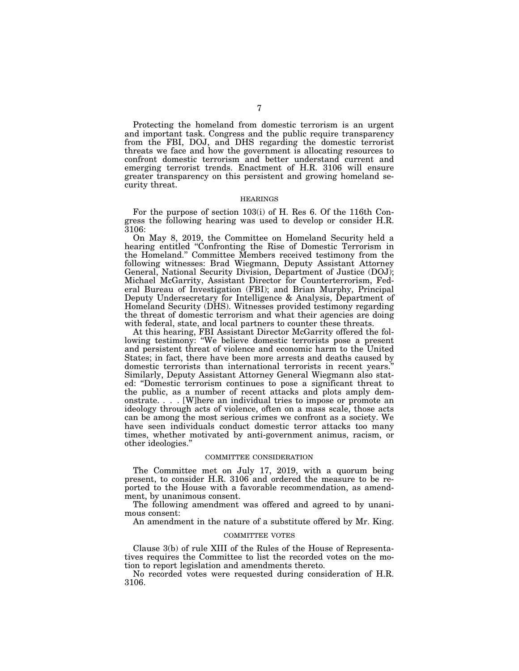Protecting the homeland from domestic terrorism is an urgent and important task. Congress and the public require transparency from the FBI, DOJ, and DHS regarding the domestic terrorist threats we face and how the government is allocating resources to confront domestic terrorism and better understand current and emerging terrorist trends. Enactment of H.R. 3106 will ensure greater transparency on this persistent and growing homeland security threat.

#### HEARINGS

For the purpose of section 103(i) of H. Res 6. Of the 116th Congress the following hearing was used to develop or consider H.R. 3106:

On May 8, 2019, the Committee on Homeland Security held a hearing entitled ''Confronting the Rise of Domestic Terrorism in the Homeland.'' Committee Members received testimony from the following witnesses: Brad Wiegmann, Deputy Assistant Attorney General, National Security Division, Department of Justice (DOJ); Michael McGarrity, Assistant Director for Counterterrorism, Federal Bureau of Investigation (FBI); and Brian Murphy, Principal Deputy Undersecretary for Intelligence & Analysis, Department of Homeland Security (DHS). Witnesses provided testimony regarding the threat of domestic terrorism and what their agencies are doing with federal, state, and local partners to counter these threats.

At this hearing, FBI Assistant Director McGarrity offered the following testimony: ''We believe domestic terrorists pose a present and persistent threat of violence and economic harm to the United States; in fact, there have been more arrests and deaths caused by domestic terrorists than international terrorists in recent years.'' Similarly, Deputy Assistant Attorney General Wiegmann also stated: ''Domestic terrorism continues to pose a significant threat to the public, as a number of recent attacks and plots amply demonstrate. . . . [W]here an individual tries to impose or promote an ideology through acts of violence, often on a mass scale, those acts can be among the most serious crimes we confront as a society. We have seen individuals conduct domestic terror attacks too many times, whether motivated by anti-government animus, racism, or other ideologies.''

### COMMITTEE CONSIDERATION

The Committee met on July 17, 2019, with a quorum being present, to consider H.R. 3106 and ordered the measure to be reported to the House with a favorable recommendation, as amendment, by unanimous consent.

The following amendment was offered and agreed to by unanimous consent:

An amendment in the nature of a substitute offered by Mr. King.

#### COMMITTEE VOTES

Clause 3(b) of rule XIII of the Rules of the House of Representatives requires the Committee to list the recorded votes on the motion to report legislation and amendments thereto.

No recorded votes were requested during consideration of H.R. 3106.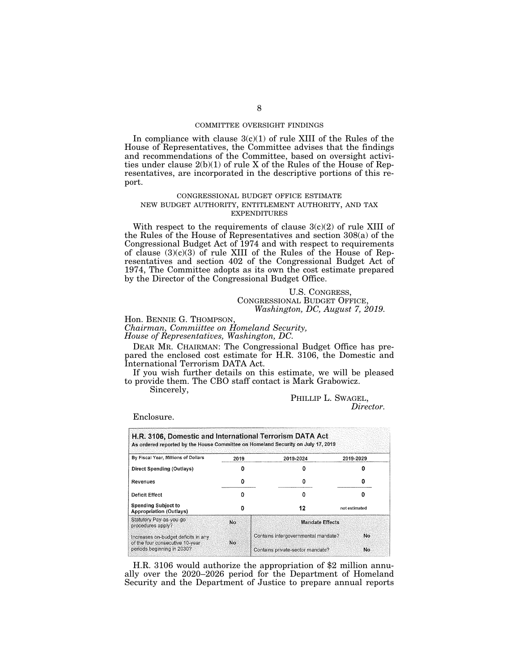### COMMITTEE OVERSIGHT FINDINGS

In compliance with clause  $3(c)(1)$  of rule XIII of the Rules of the House of Representatives, the Committee advises that the findings and recommendations of the Committee, based on oversight activities under clause  $2(b)(1)$  of rule X of the Rules of the House of Representatives, are incorporated in the descriptive portions of this report.

### CONGRESSIONAL BUDGET OFFICE ESTIMATE NEW BUDGET AUTHORITY, ENTITLEMENT AUTHORITY, AND TAX EXPENDITURES

With respect to the requirements of clause  $3(c)(2)$  of rule XIII of the Rules of the House of Representatives and section 308(a) of the Congressional Budget Act of 1974 and with respect to requirements of clause  $(3)(c)(3)$  of rule XIII of the Rules of the House of Representatives and section 402 of the Congressional Budget Act of 1974, The Committee adopts as its own the cost estimate prepared by the Director of the Congressional Budget Office.

### U.S. CONGRESS, CONGRESSIONAL BUDGET OFFICE, *Washington, DC, August 7, 2019.*

Hon. BENNIE G. THOMPSON,

*Chairman, Commiittee on Homeland Security, House of Representatives, Washington, DC.* 

DEAR MR. CHAIRMAN: The Congressional Budget Office has prepared the enclosed cost estimate for H.R. 3106, the Domestic and International Terrorism DATA Act.

If you wish further details on this estimate, we will be pleased to provide them. The CBO staff contact is Mark Grabowicz.

Sincerely,

## PHILLIP L. SWAGEL, *Director.*

Enclosure.

| As ordered reported by the House Committee on Homeland Security on July 17, 2019 |      |                                     |               |  |  |  |
|----------------------------------------------------------------------------------|------|-------------------------------------|---------------|--|--|--|
| By Fiscal Year, Millions of Dollars                                              | 2019 | 2019-2024                           | 2019-2029     |  |  |  |
| Direct Spending (Outlays)                                                        |      |                                     |               |  |  |  |
| Revenues                                                                         | o    |                                     | n             |  |  |  |
| Deficit Effect                                                                   | n    |                                     | o             |  |  |  |
| <b>Spending Subject to</b><br><b>Appropriation (Outlays)</b>                     | o    | 12                                  | not estimated |  |  |  |
| Statutory Pay-as-you-go<br>procedures apply?                                     | No.  | <b>Mandate Effects</b>              |               |  |  |  |
| Increases on-budget deficits in any<br>of the four consecutive 10-year           | No.  | Contains intergovernmental mandate? | No.           |  |  |  |
| periods beginning in 2030?                                                       |      | Contains private-sector mandate?    | No            |  |  |  |

H.R. 3106 would authorize the appropriation of \$2 million annually over the 2020–2026 period for the Department of Homeland Security and the Department of Justice to prepare annual reports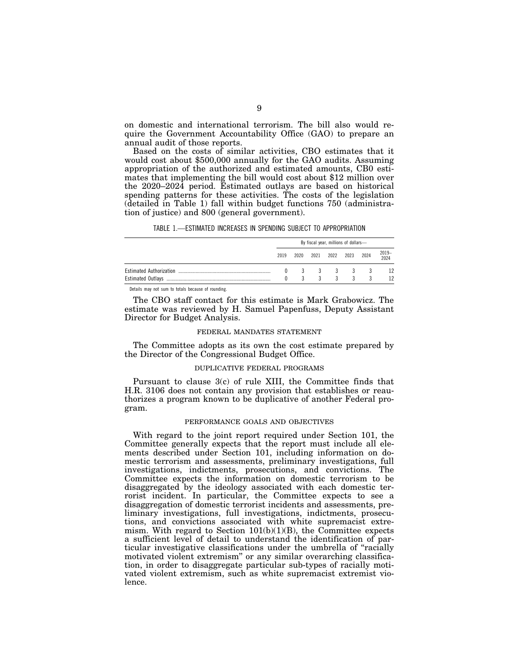on domestic and international terrorism. The bill also would require the Government Accountability Office (GAO) to prepare an annual audit of those reports.

Based on the costs of similar activities, CBO estimates that it would cost about \$500,000 annually for the GAO audits. Assuming appropriation of the authorized and estimated amounts, CB0 estimates that implementing the bill would cost about \$12 million over the 2020–2024 period. Estimated outlays are based on historical spending patterns for these activities. The costs of the legislation (detailed in Table 1) fall within budget functions 750 (administration of justice) and 800 (general government).

TABLE 1.—ESTIMATED INCREASES IN SPENDING SUBJECT TO APPROPRIATION

| By fiscal year, millions of dollars- |      |    |                |  |         |           |  |
|--------------------------------------|------|----|----------------|--|---------|-----------|--|
| 2019                                 | 2020 |    | 2021 2022 2023 |  | 2024    | 2019-2024 |  |
|                                      | 3    |    |                |  | 3 3 3 3 | 12        |  |
|                                      |      | 3. |                |  |         |           |  |

Details may not sum to totals because of rounding.

The CBO staff contact for this estimate is Mark Grabowicz. The estimate was reviewed by H. Samuel Papenfuss, Deputy Assistant Director for Budget Analysis.

### FEDERAL MANDATES STATEMENT

The Committee adopts as its own the cost estimate prepared by the Director of the Congressional Budget Office.

### DUPLICATIVE FEDERAL PROGRAMS

Pursuant to clause 3(c) of rule XIII, the Committee finds that H.R. 3106 does not contain any provision that establishes or reauthorizes a program known to be duplicative of another Federal program.

#### PERFORMANCE GOALS AND OBJECTIVES

With regard to the joint report required under Section 101, the Committee generally expects that the report must include all elements described under Section 101, including information on domestic terrorism and assessments, preliminary investigations, full investigations, indictments, prosecutions, and convictions. The Committee expects the information on domestic terrorism to be disaggregated by the ideology associated with each domestic terrorist incident. In particular, the Committee expects to see a disaggregation of domestic terrorist incidents and assessments, preliminary investigations, full investigations, indictments, prosecutions, and convictions associated with white supremacist extremism. With regard to Section  $101(b)(1)(B)$ , the Committee expects a sufficient level of detail to understand the identification of particular investigative classifications under the umbrella of ''racially motivated violent extremism'' or any similar overarching classification, in order to disaggregate particular sub-types of racially motivated violent extremism, such as white supremacist extremist violence.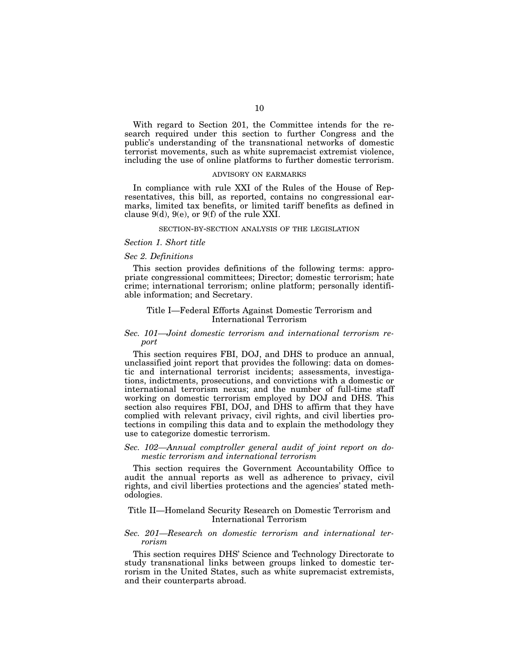With regard to Section 201, the Committee intends for the research required under this section to further Congress and the public's understanding of the transnational networks of domestic terrorist movements, such as white supremacist extremist violence, including the use of online platforms to further domestic terrorism.

#### ADVISORY ON EARMARKS

In compliance with rule XXI of the Rules of the House of Representatives, this bill, as reported, contains no congressional earmarks, limited tax benefits, or limited tariff benefits as defined in clause  $9(d)$ ,  $9(e)$ , or  $9(f)$  of the rule XXI.

### SECTION-BY-SECTION ANALYSIS OF THE LEGISLATION

### *Section 1. Short title*

### *Sec 2. Definitions*

This section provides definitions of the following terms: appropriate congressional committees; Director; domestic terrorism; hate crime; international terrorism; online platform; personally identifiable information; and Secretary.

### Title I—Federal Efforts Against Domestic Terrorism and International Terrorism

### *Sec. 101—Joint domestic terrorism and international terrorism report*

This section requires FBI, DOJ, and DHS to produce an annual, unclassified joint report that provides the following: data on domestic and international terrorist incidents; assessments, investigations, indictments, prosecutions, and convictions with a domestic or international terrorism nexus; and the number of full-time staff working on domestic terrorism employed by DOJ and DHS. This section also requires FBI, DOJ, and DHS to affirm that they have complied with relevant privacy, civil rights, and civil liberties protections in compiling this data and to explain the methodology they use to categorize domestic terrorism.

### *Sec. 102—Annual comptroller general audit of joint report on domestic terrorism and international terrorism*

This section requires the Government Accountability Office to audit the annual reports as well as adherence to privacy, civil rights, and civil liberties protections and the agencies' stated methodologies.

### Title II—Homeland Security Research on Domestic Terrorism and International Terrorism

### *Sec. 201—Research on domestic terrorism and international terrorism*

This section requires DHS' Science and Technology Directorate to study transnational links between groups linked to domestic terrorism in the United States, such as white supremacist extremists, and their counterparts abroad.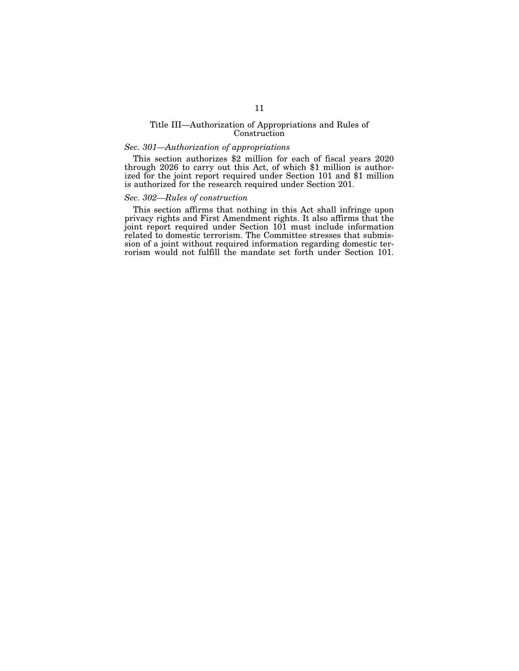### Title III—Authorization of Appropriations and Rules of Construction

### *Sec. 301—Authorization of appropriations*

This section authorizes \$2 million for each of fiscal years 2020 through 2026 to carry out this Act, of which \$1 million is authorized for the joint report required under Section 101 and \$1 million is authorized for the research required under Section 201.

## *Sec. 302—Rules of construction*

This section affirms that nothing in this Act shall infringe upon privacy rights and First Amendment rights. It also affirms that the joint report required under Section 101 must include information related to domestic terrorism. The Committee stresses that submission of a joint without required information regarding domestic terrorism would not fulfill the mandate set forth under Section 101.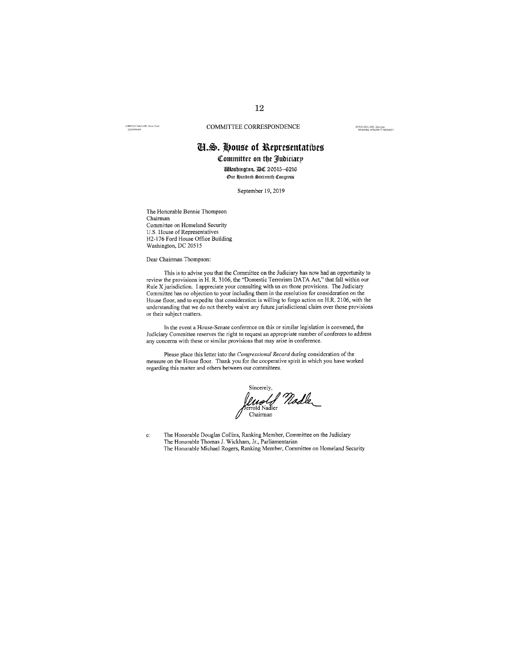JERROLD NADLER, New York

COMMITTEE CORRESPONDENCE

DOUG COLLINS, Georgia<br>RANKING MIMORITY MEMBÉR

# **II.S. House of Representatives** Committee on the Judiciary

*<i>Ullashington, 20 20515-6216* 

Oue Hundred Sixteenth Congress

September 19, 2019

The Honorable Bennie Thompson Chairman Committee on Homeland Security U.S. House of Representatives H2-176 Ford House Office Building Washington, DC 20515

Dear Chairman Thompson:

This is to advise you that the Committee on the Judiciary has now had an opportunity to review the provisions in H. R. 3106, the "Domestic Terrorism DATA Act," that fall within our Rule X jurisdiction. I appreciate your consulting with us on those provisions. The Judiciary Committee has no objection to your including them in the resolution for consideration on the House floor, and to expedite that consideration is willing to forgo action on H.R. 2106, with the understanding that we do not thereby waive any future jurisdictional claim over those provisions or their subject matters.

In the event a House-Senate conference on this or similar legislation is convened, the Judiciary Committee reserves the right to request an appropriate number of conferees to address any concerns with these or similar provisions that may arise in conference.

Please place this letter into the Congressional Record during consideration of the measure on the House floor. Thank you for the cooperative spirit in which you have worked regarding this matter and others between our committees.

Sincerely,<br>*Unolf Nadle*<br>Chairman<br>Chairman Chairman

The Honorable Douglas Collins, Ranking Member, Committee on the Judiciary The Honorable Thomas J. Wickham, Jr., Parliamentarian  $\mathbf{c}$ : The Honorable Michael Rogers, Ranking Member, Committee on Homeland Security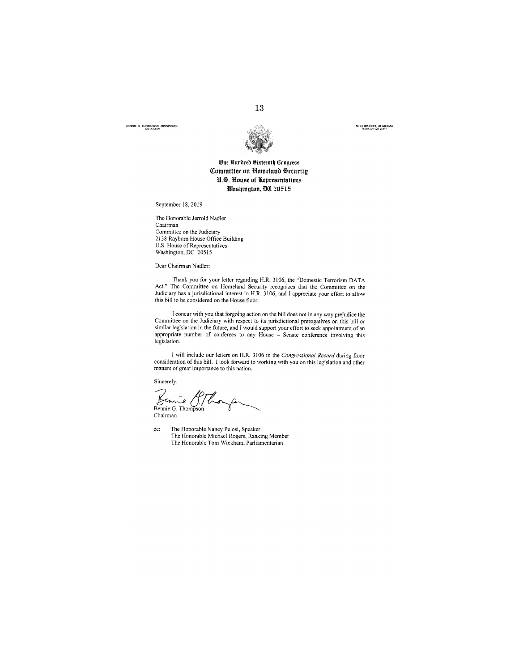**VIE G. THOMPSON, MISSISSIPPI** 



13

MIKE ROGERS, ALABAMA<br>RANKING MEMBER

## One Hundred Sixteenth Congress Committee on Homeland Security U.S. House of Representatives Washington, DC 20515

September 18, 2019

The Honorable Jerrold Nadler Chairman

Committee on the Judiciary 2138 Rayburn House Office Building U.S. House of Representatives<br>Washington, DC 20515

Dear Chairman Nadler:

Thank you for your letter regarding H.R. 3106, the "Domestic Terrorism DATA Act." The Committee on Homeland Security recognizes that the Committee on the Judiciary has a jurisdictional interest in H.R. 3106, and I appreciate your effort to allow this bill to be considered on the House floor.

I concur with you that forgoing action on the bill does not in any way prejudice the Committee on the Judiciary with respect to its jurisdictional prerogatives on this bill or commuted on the January while respect to its jurisdictional prerogatives on this bitter<br>similar legislation in the future, and I would support your effort to seek appointment of an<br>appropriate number of conferees to any Ho legislation.

I will include our letters on H.R. 3106 in the Congressional Record during floor consideration of this bill. I look forward to working with you on this legislation and other matters of great importance to this nation.

Sincerely,

Bennie G. Thompson Chairman

cc: The Honorable Nancy Pelosi, Speaker The Honorable Michael Rogers, Ranking Member The Honorable Tom Wickham, Parliamentarian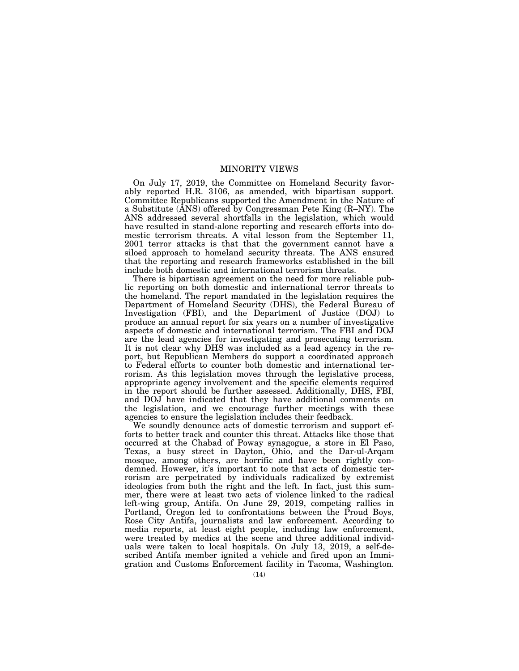## MINORITY VIEWS

On July 17, 2019, the Committee on Homeland Security favorably reported H.R. 3106, as amended, with bipartisan support. Committee Republicans supported the Amendment in the Nature of a Substitute (ANS) offered by Congressman Pete King (R–NY). The ANS addressed several shortfalls in the legislation, which would have resulted in stand-alone reporting and research efforts into domestic terrorism threats. A vital lesson from the September 11, 2001 terror attacks is that that the government cannot have a siloed approach to homeland security threats. The ANS ensured that the reporting and research frameworks established in the bill include both domestic and international terrorism threats.

There is bipartisan agreement on the need for more reliable public reporting on both domestic and international terror threats to the homeland. The report mandated in the legislation requires the Department of Homeland Security (DHS), the Federal Bureau of Investigation (FBI), and the Department of Justice (DOJ) to produce an annual report for six years on a number of investigative aspects of domestic and international terrorism. The FBI and DOJ are the lead agencies for investigating and prosecuting terrorism. It is not clear why DHS was included as a lead agency in the report, but Republican Members do support a coordinated approach to Federal efforts to counter both domestic and international terrorism. As this legislation moves through the legislative process, appropriate agency involvement and the specific elements required in the report should be further assessed. Additionally, DHS, FBI, and DOJ have indicated that they have additional comments on the legislation, and we encourage further meetings with these agencies to ensure the legislation includes their feedback.

We soundly denounce acts of domestic terrorism and support efforts to better track and counter this threat. Attacks like those that occurred at the Chabad of Poway synagogue, a store in El Paso, Texas, a busy street in Dayton, Ohio, and the Dar-ul-Arqam mosque, among others, are horrific and have been rightly condemned. However, it's important to note that acts of domestic terrorism are perpetrated by individuals radicalized by extremist ideologies from both the right and the left. In fact, just this summer, there were at least two acts of violence linked to the radical left-wing group, Antifa. On June 29, 2019, competing rallies in Portland, Oregon led to confrontations between the Proud Boys, Rose City Antifa, journalists and law enforcement. According to media reports, at least eight people, including law enforcement, were treated by medics at the scene and three additional individuals were taken to local hospitals. On July 13, 2019, a self-described Antifa member ignited a vehicle and fired upon an Immigration and Customs Enforcement facility in Tacoma, Washington.